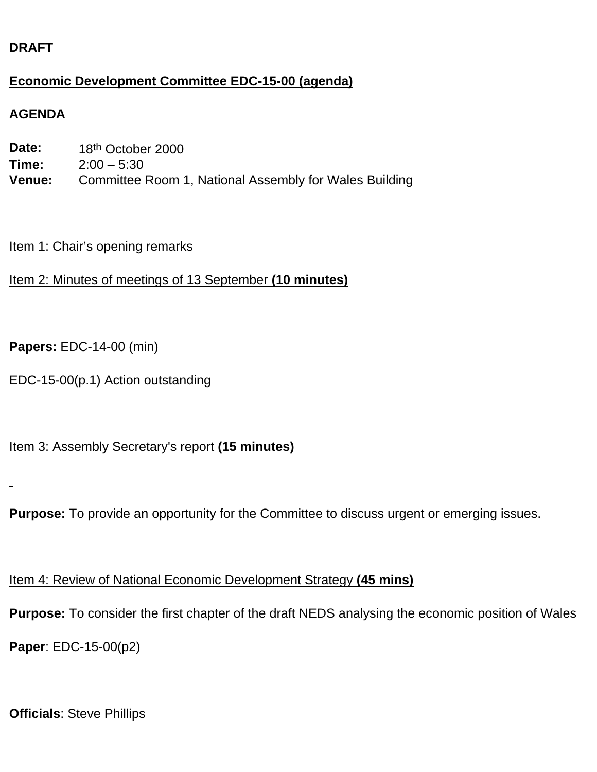### **DRAFT**

#### **Economic Development Committee EDC-15-00 (agenda)**

#### **AGENDA**

| Date:         | 18 <sup>th</sup> October 2000                          |
|---------------|--------------------------------------------------------|
| Time:         | $2:00 - 5:30$                                          |
| <b>Venue:</b> | Committee Room 1, National Assembly for Wales Building |

#### Item 1: Chair's opening remarks

```
Item 2: Minutes of meetings of 13 September (10 minutes)
```

```
Papers: EDC-14-00 (min)
```
EDC-15-00(p.1) Action outstanding

#### Item 3: Assembly Secretary's report **(15 minutes)**

**Purpose:** To provide an opportunity for the Committee to discuss urgent or emerging issues.

## Item 4: Review of National Economic Development Strategy **(45 mins)**

**Purpose:** To consider the first chapter of the draft NEDS analysing the economic position of Wales

**Paper**: EDC-15-00(p2)

**Officials**: Steve Phillips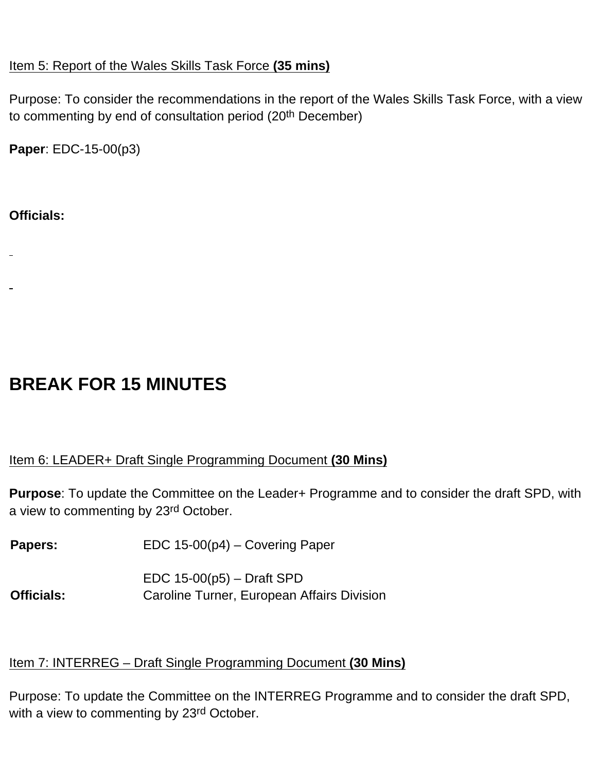#### Item 5: Report of the Wales Skills Task Force **(35 mins)**

Purpose: To consider the recommendations in the report of the Wales Skills Task Force, with a view to commenting by end of consultation period (20th December)

**Paper**: EDC-15-00(p3)

#### **Officials:**

- 
- 

# **BREAK FOR 15 MINUTES**

#### Item 6: LEADER+ Draft Single Programming Document **(30 Mins)**

**Purpose**: To update the Committee on the Leader+ Programme and to consider the draft SPD, with a view to commenting by 23rd October.

Papers: EDC 15-00(p4) – Covering Paper

EDC 15-00(p5) – Draft SPD **Officials:** Caroline Turner, European Affairs Division

#### Item 7: INTERREG – Draft Single Programming Document **(30 Mins)**

Purpose: To update the Committee on the INTERREG Programme and to consider the draft SPD, with a view to commenting by 23<sup>rd</sup> October.